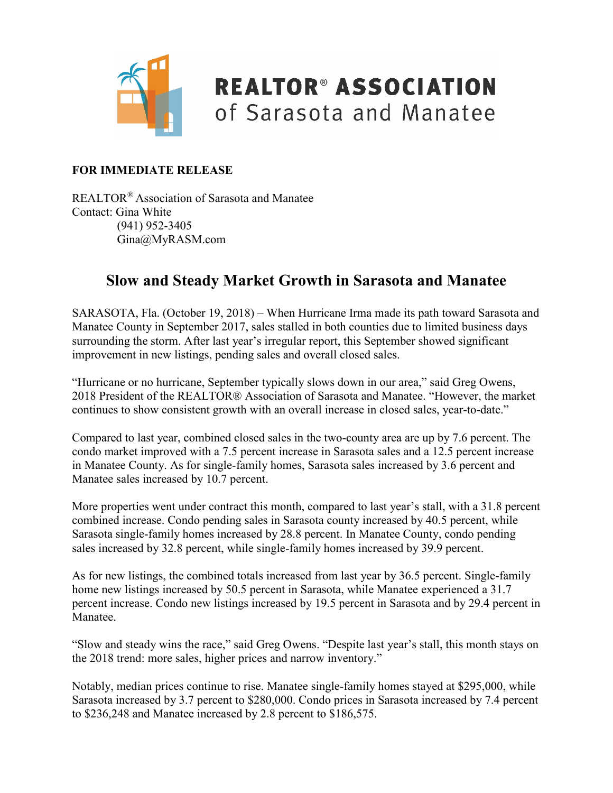

### **REALTOR® ASSOCIATION** of Sarasota and Manatee

#### **FOR IMMEDIATE RELEASE**

REALTOR® Association of Sarasota and Manatee Contact: Gina White (941) 952-3405 Gina@MyRASM.com

#### **Slow and Steady Market Growth in Sarasota and Manatee**

SARASOTA, Fla. (October 19, 2018) – When Hurricane Irma made its path toward Sarasota and Manatee County in September 2017, sales stalled in both counties due to limited business days surrounding the storm. After last year's irregular report, this September showed significant improvement in new listings, pending sales and overall closed sales.

"Hurricane or no hurricane, September typically slows down in our area," said Greg Owens, 2018 President of the REALTOR® Association of Sarasota and Manatee. "However, the market continues to show consistent growth with an overall increase in closed sales, year-to-date."

Compared to last year, combined closed sales in the two-county area are up by 7.6 percent. The condo market improved with a 7.5 percent increase in Sarasota sales and a 12.5 percent increase in Manatee County. As for single-family homes, Sarasota sales increased by 3.6 percent and Manatee sales increased by 10.7 percent.

More properties went under contract this month, compared to last year's stall, with a 31.8 percent combined increase. Condo pending sales in Sarasota county increased by 40.5 percent, while Sarasota single-family homes increased by 28.8 percent. In Manatee County, condo pending sales increased by 32.8 percent, while single-family homes increased by 39.9 percent.

As for new listings, the combined totals increased from last year by 36.5 percent. Single-family home new listings increased by 50.5 percent in Sarasota, while Manatee experienced a 31.7 percent increase. Condo new listings increased by 19.5 percent in Sarasota and by 29.4 percent in Manatee.

"Slow and steady wins the race," said Greg Owens. "Despite last year's stall, this month stays on the 2018 trend: more sales, higher prices and narrow inventory."

Notably, median prices continue to rise. Manatee single-family homes stayed at \$295,000, while Sarasota increased by 3.7 percent to \$280,000. Condo prices in Sarasota increased by 7.4 percent to \$236,248 and Manatee increased by 2.8 percent to \$186,575.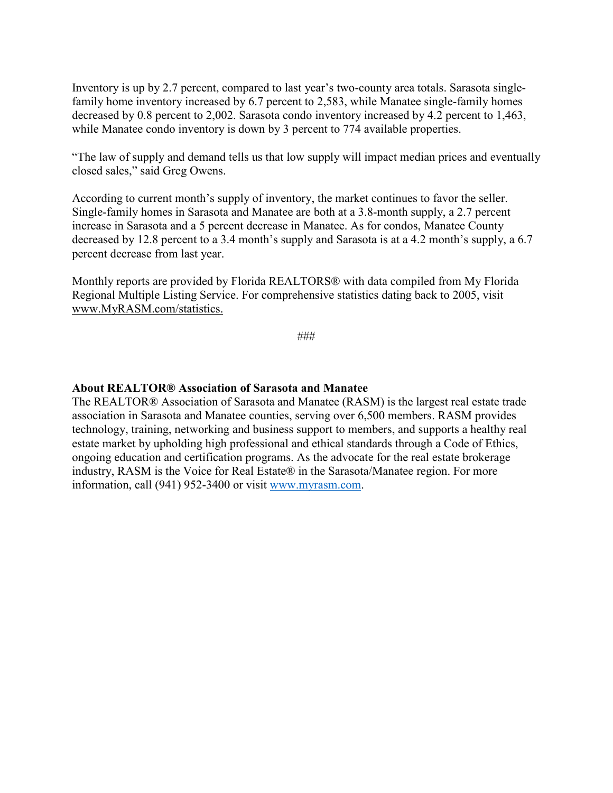Inventory is up by 2.7 percent, compared to last year's two-county area totals. Sarasota singlefamily home inventory increased by 6.7 percent to 2,583, while Manatee single-family homes decreased by 0.8 percent to 2,002. Sarasota condo inventory increased by 4.2 percent to 1,463, while Manatee condo inventory is down by 3 percent to 774 available properties.

"The law of supply and demand tells us that low supply will impact median prices and eventually closed sales," said Greg Owens.

According to current month's supply of inventory, the market continues to favor the seller. Single-family homes in Sarasota and Manatee are both at a 3.8-month supply, a 2.7 percent increase in Sarasota and a 5 percent decrease in Manatee. As for condos, Manatee County decreased by 12.8 percent to a 3.4 month's supply and Sarasota is at a 4.2 month's supply, a 6.7 percent decrease from last year.

Monthly reports are provided by Florida REALTORS® with data compiled from My Florida Regional Multiple Listing Service. For comprehensive statistics dating back to 2005, visit [www.MyRASM.com/statistics.](http://www.myrasm.com/statistics)

###

#### **About REALTOR® Association of Sarasota and Manatee**

The REALTOR® Association of Sarasota and Manatee (RASM) is the largest real estate trade association in Sarasota and Manatee counties, serving over 6,500 members. RASM provides technology, training, networking and business support to members, and supports a healthy real estate market by upholding high professional and ethical standards through a Code of Ethics, ongoing education and certification programs. As the advocate for the real estate brokerage industry, RASM is the Voice for Real Estate® in the Sarasota/Manatee region. For more information, call (941) 952-3400 or visit [www.myrasm.com.](http://www.myrasm.com/)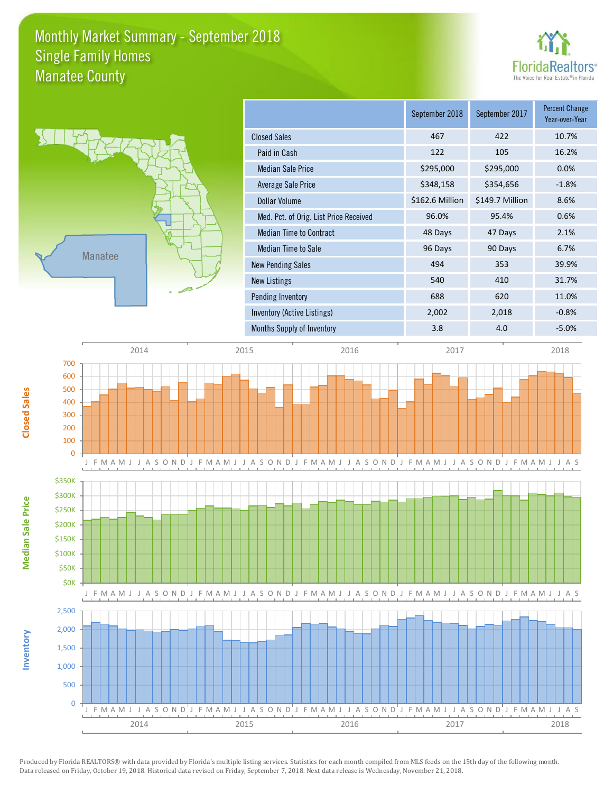### Monthly Market Summary - September 2018 Manatee County Single Family Homes





**Median Sale Price**

**Median Sale Price** 

**Closed Sales**

**Inventory**

|                                        | September 2018  | September 2017  | Percent Change<br>Year-over-Year |
|----------------------------------------|-----------------|-----------------|----------------------------------|
| <b>Closed Sales</b>                    | 467             | 422             | 10.7%                            |
| Paid in Cash                           | 122             | 105             | 16.2%                            |
| <b>Median Sale Price</b>               | \$295,000       | \$295,000       | 0.0%                             |
| Average Sale Price                     | \$348,158       | \$354,656       | $-1.8%$                          |
| Dollar Volume                          | \$162.6 Million | \$149.7 Million | 8.6%                             |
| Med. Pct. of Orig. List Price Received | 96.0%           | 95.4%           | 0.6%                             |
| <b>Median Time to Contract</b>         | 48 Days         | 47 Days         | 2.1%                             |
| Median Time to Sale                    | 96 Days         | 90 Days         | 6.7%                             |
| <b>New Pending Sales</b>               | 494             | 353             | 39.9%                            |
| New Listings                           | 540             | 410             | 31.7%                            |
| Pending Inventory                      | 688             | 620             | 11.0%                            |
| <b>Inventory (Active Listings)</b>     | 2,002           | 2,018           | $-0.8%$                          |
| Months Supply of Inventory             | 3.8             | 4.0             | $-5.0%$                          |

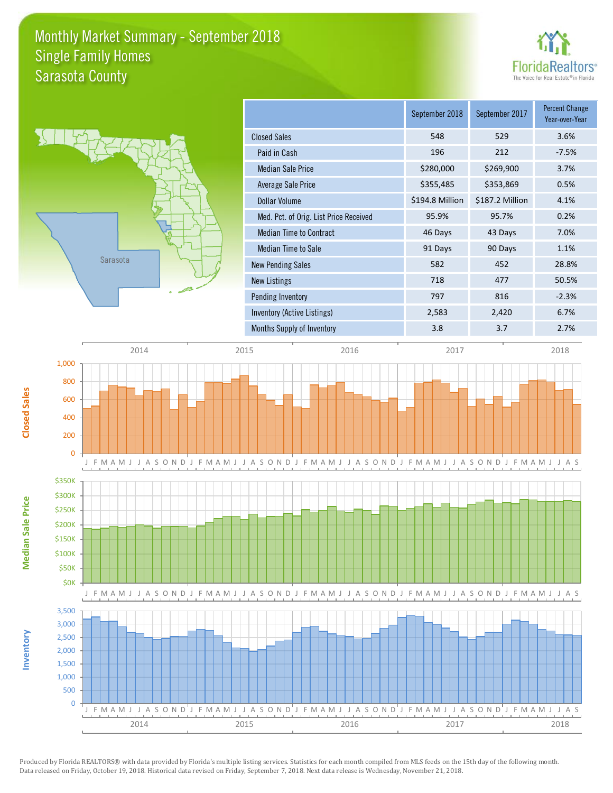### Monthly Market Summary - September 2018 Sarasota County Single Family Homes





**Median Sale Price**

**Median Sale Price** 

**Closed Sales**

**Inventory**

|                                        | September 2018  | September 2017  | <b>Percent Change</b><br>Year-over-Year |
|----------------------------------------|-----------------|-----------------|-----------------------------------------|
| <b>Closed Sales</b>                    | 548             | 529             | 3.6%                                    |
| Paid in Cash                           | 196             | 212             | $-7.5%$                                 |
| <b>Median Sale Price</b>               | \$280,000       | \$269,900       | 3.7%                                    |
| Average Sale Price                     | \$355,485       | \$353,869       | 0.5%                                    |
| Dollar Volume                          | \$194.8 Million | \$187.2 Million | 4.1%                                    |
| Med. Pct. of Orig. List Price Received | 95.9%           | 95.7%           | 0.2%                                    |
| <b>Median Time to Contract</b>         | 46 Days         | 43 Days         | 7.0%                                    |
| <b>Median Time to Sale</b>             | 91 Days         | 90 Days         | 1.1%                                    |
| <b>New Pending Sales</b>               | 582             | 452             | 28.8%                                   |
| New Listings                           | 718             | 477             | 50.5%                                   |
| Pending Inventory                      | 797             | 816             | $-2.3%$                                 |
| Inventory (Active Listings)            | 2,583           | 2,420           | 6.7%                                    |
| Months Supply of Inventory             | 3.8             | 3.7             | 2.7%                                    |

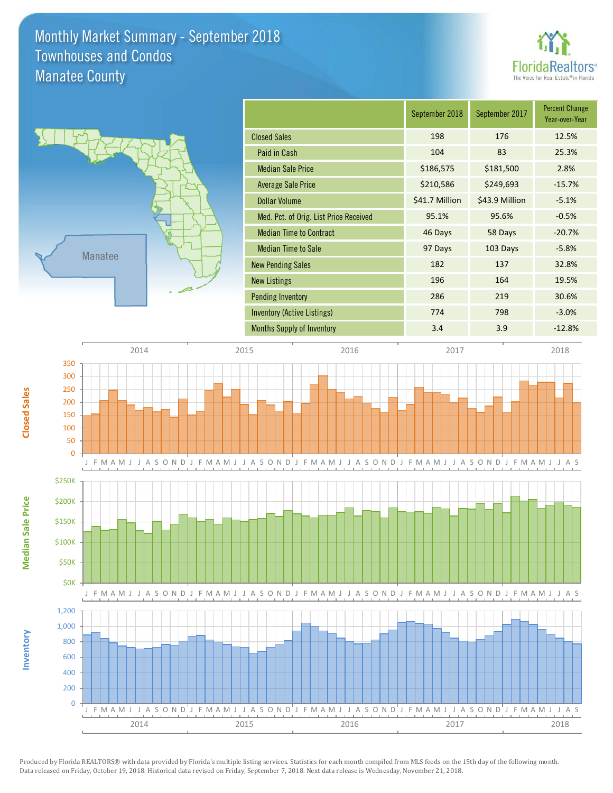### Monthly Market Summary - September 2018 Manatee County Townhouses and Condos





**Median Sale Price**

**Median Sale Price** 

**Closed Sales**

**Inventory**

|                                        | September 2018 | September 2017 | <b>Percent Change</b><br>Year-over-Year |
|----------------------------------------|----------------|----------------|-----------------------------------------|
| <b>Closed Sales</b>                    | 198            | 176            | 12.5%                                   |
| Paid in Cash                           | 104            | 83             | 25.3%                                   |
| <b>Median Sale Price</b>               | \$186,575      | \$181,500      | 2.8%                                    |
| <b>Average Sale Price</b>              | \$210,586      | \$249,693      | $-15.7%$                                |
| <b>Dollar Volume</b>                   | \$41.7 Million | \$43.9 Million | $-5.1%$                                 |
| Med. Pct. of Orig. List Price Received | 95.1%          | 95.6%          | $-0.5%$                                 |
| <b>Median Time to Contract</b>         | 46 Days        | 58 Days        | $-20.7%$                                |
| <b>Median Time to Sale</b>             | 97 Days        | 103 Days       | $-5.8%$                                 |
| <b>New Pending Sales</b>               | 182            | 137            | 32.8%                                   |
| <b>New Listings</b>                    | 196            | 164            | 19.5%                                   |
| <b>Pending Inventory</b>               | 286            | 219            | 30.6%                                   |
| Inventory (Active Listings)            | 774            | 798            | $-3.0%$                                 |
| <b>Months Supply of Inventory</b>      | 3.4            | 3.9            | $-12.8%$                                |

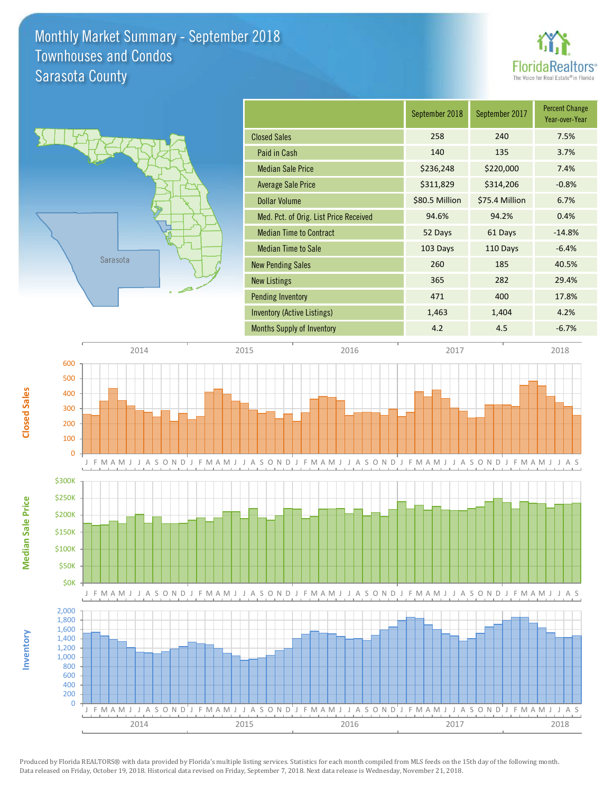### Monthly Market Summary - September 2018 Sarasota County Townhouses and Condos

![](_page_5_Picture_1.jpeg)

![](_page_5_Figure_2.jpeg)

**Median Sale Price**

**Median Sale Price** 

**Closed Sales**

**Inventory**

|                                        | September 2018 | September 2017 | <b>Percent Change</b><br>Year-over-Year |
|----------------------------------------|----------------|----------------|-----------------------------------------|
| <b>Closed Sales</b>                    | 258            | 240            | 7.5%                                    |
| Paid in Cash                           | 140            | 135            | 3.7%                                    |
| <b>Median Sale Price</b>               | \$236,248      | \$220,000      | 7.4%                                    |
| Average Sale Price                     | \$311,829      | \$314,206      | $-0.8%$                                 |
| <b>Dollar Volume</b>                   | \$80.5 Million | \$75.4 Million | 6.7%                                    |
| Med. Pct. of Orig. List Price Received | 94.6%          | 94.2%          | 0.4%                                    |
| <b>Median Time to Contract</b>         | 52 Days        | 61 Days        | $-14.8%$                                |
| <b>Median Time to Sale</b>             | 103 Days       | 110 Days       | $-6.4%$                                 |
| <b>New Pending Sales</b>               | 260            | 185            | 40.5%                                   |
| <b>New Listings</b>                    | 365            | 282            | 29.4%                                   |
| <b>Pending Inventory</b>               | 471            | 400            | 17.8%                                   |
| Inventory (Active Listings)            | 1,463          | 1,404          | 4.2%                                    |
| <b>Months Supply of Inventory</b>      | 4.2            | 4.5            | $-6.7%$                                 |

![](_page_5_Figure_4.jpeg)

Produced by Florida REALTORS® with data provided by Florida's multiple listing services. Statistics for each month compiled from MLS feeds on the 15th day of the following month. Data released on Friday, October 19, 2018. Historical data revised on Friday, September 7, 2018. Next data release is Wednesday, November 21, 2018.

2014 2015 2016 2016 2017 2018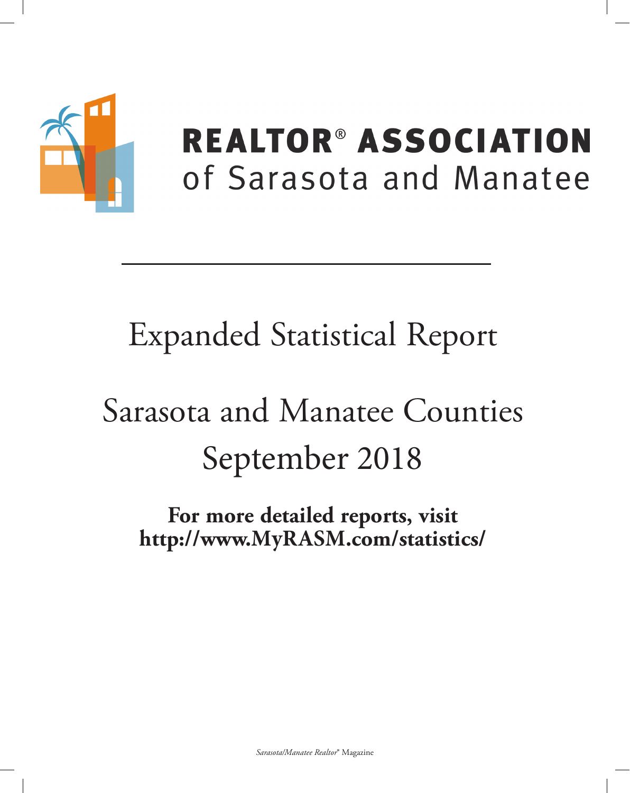![](_page_6_Picture_0.jpeg)

## **REALTOR® ASSOCIATION** of Sarasota and Manatee

## **Expanded Statistical Report**

# Sarasota and Manatee Counties September 2018

For more detailed reports, visit http://www.MyRASM.com/statistics/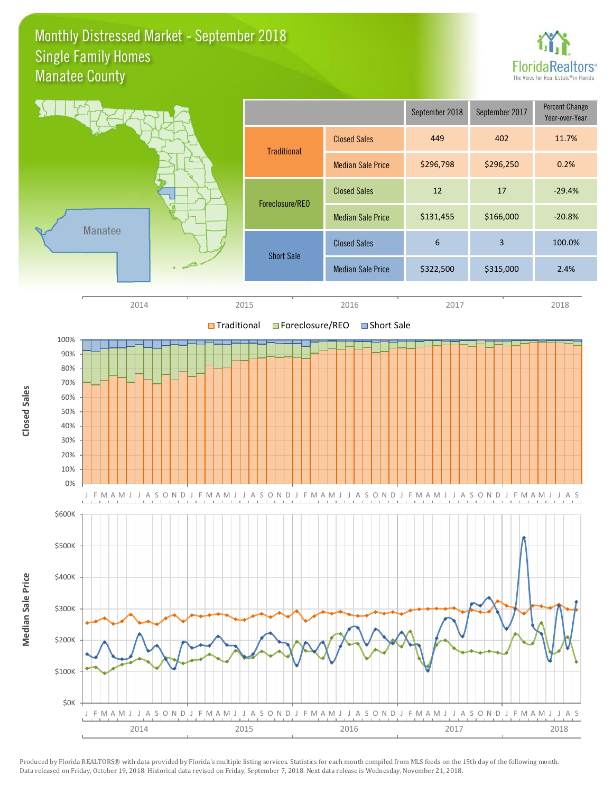### Monthly Distressed Market - September 2018 Manatee County Single Family Homes

![](_page_7_Picture_1.jpeg)

![](_page_7_Figure_2.jpeg)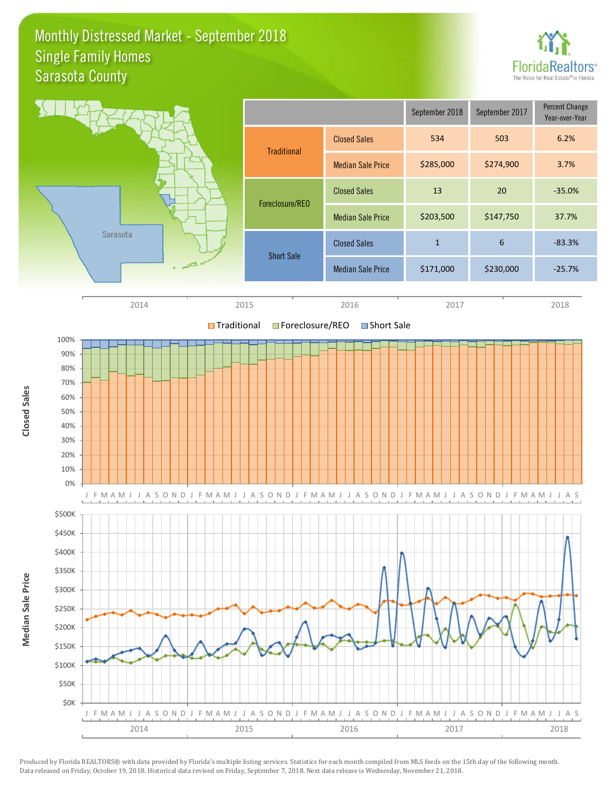### Monthly Distressed Market - September 2018 Sarasota County Single Family Homes

![](_page_8_Picture_1.jpeg)

![](_page_8_Figure_2.jpeg)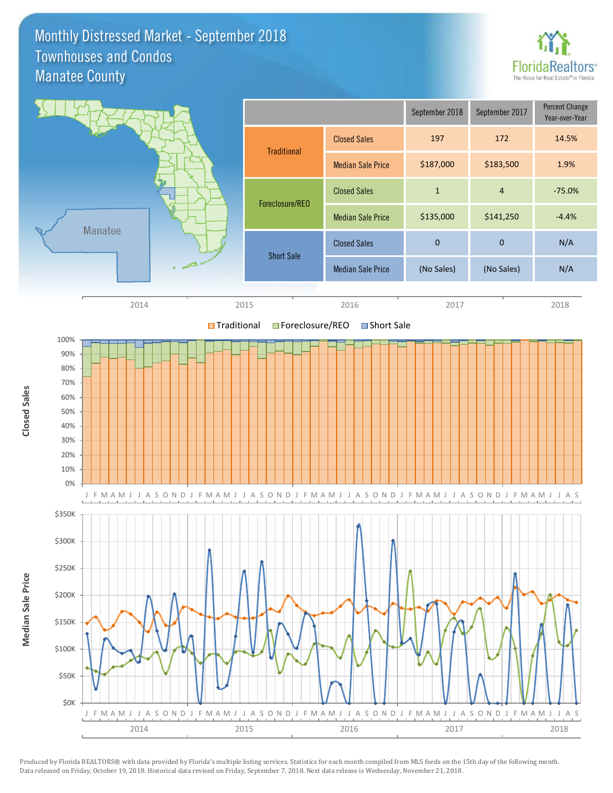### Monthly Distressed Market - September 2018 Manatee County Townhouses and Condos

![](_page_9_Picture_1.jpeg)

![](_page_9_Figure_2.jpeg)